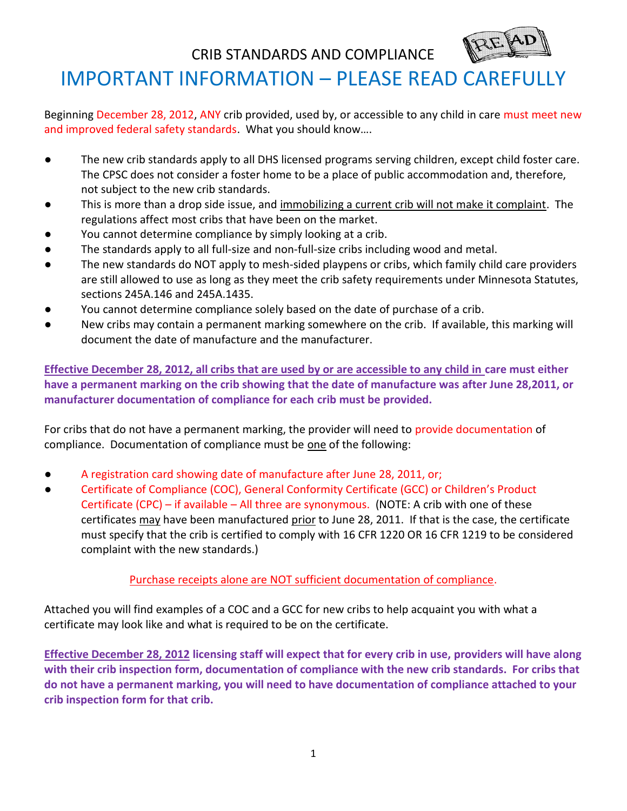

CRIB STANDARDS AND COMPLIANCE

## IMPORTANT INFORMATION – PLEASE READ CAREFULLY

Beginning December 28, 2012, ANY crib provided, used by, or accessible to any child in care must meet new and improved federal safety standards. What you should know….

- The new crib standards apply to all DHS licensed programs serving children, except child foster care. The CPSC does not consider a foster home to be a place of public accommodation and, therefore, not subject to the new crib standards.
- This is more than a drop side issue, and immobilizing a current crib will not make it complaint. The regulations affect most cribs that have been on the market.
- You cannot determine compliance by simply looking at a crib.
- The standards apply to all full-size and non-full-size cribs including wood and metal.
- The new standards do NOT apply to mesh-sided playpens or cribs, which family child care providers are still allowed to use as long as they meet the crib safety requirements under Minnesota Statutes, sections 245A.146 and 245A.1435.
- You cannot determine compliance solely based on the date of purchase of a crib.
- New cribs may contain a permanent marking somewhere on the crib. If available, this marking will document the date of manufacture and the manufacturer.

**Effective December 28, 2012, all cribs that are used by or are accessible to any child in care must either have a permanent marking on the crib showing that the date of manufacture was after June 28,2011, or manufacturer documentation of compliance for each crib must be provided.**

For cribs that do not have a permanent marking, the provider will need to provide documentation of compliance. Documentation of compliance must be one of the following:

- A registration card showing date of manufacture after June 28, 2011, or;
- Certificate of Compliance (COC), General Conformity Certificate (GCC) or Children's Product Certificate (CPC) – if available – All three are synonymous. (NOTE: A crib with one of these certificates may have been manufactured prior to June 28, 2011. If that is the case, the certificate must specify that the crib is certified to comply with 16 CFR 1220 OR 16 CFR 1219 to be considered complaint with the new standards.)

Purchase receipts alone are NOT sufficient documentation of compliance.

Attached you will find examples of a COC and a GCC for new cribs to help acquaint you with what a certificate may look like and what is required to be on the certificate.

**Effective December 28, 2012 licensing staff will expect that for every crib in use, providers will have along with their crib inspection form, documentation of compliance with the new crib standards. For cribs that do not have a permanent marking, you will need to have documentation of compliance attached to your crib inspection form for that crib.**